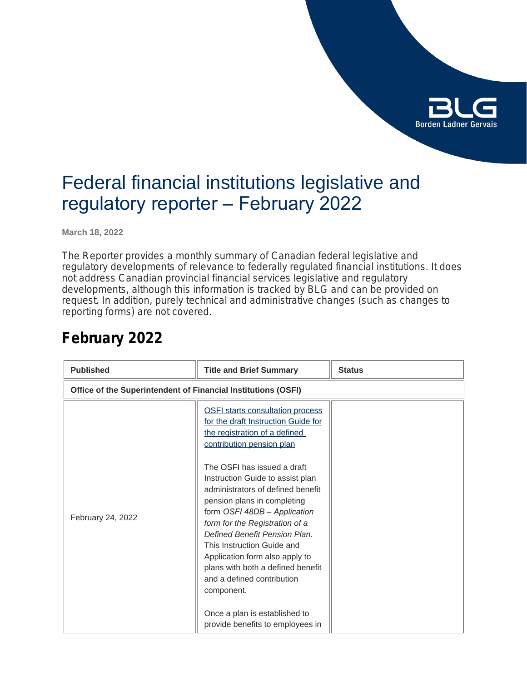

### Federal financial institutions legislative and regulatory reporter – February 2022

**March 18, 2022**

The Reporter provides a monthly summary of Canadian federal legislative and regulatory developments of relevance to federally regulated financial institutions. It does not address Canadian provincial financial services legislative and regulatory developments, although this information is tracked by BLG and can be provided on request. In addition, purely technical and administrative changes (such as changes to reporting forms) are not covered.

| <b>Published</b>                                              | <b>Title and Brief Summary</b>                                                                                                                                                                                                                                                                                                                        | <b>Status</b> |
|---------------------------------------------------------------|-------------------------------------------------------------------------------------------------------------------------------------------------------------------------------------------------------------------------------------------------------------------------------------------------------------------------------------------------------|---------------|
| Office of the Superintendent of Financial Institutions (OSFI) |                                                                                                                                                                                                                                                                                                                                                       |               |
| February 24, 2022                                             | <b>OSFI starts consultation process</b><br>for the draft Instruction Guide for<br>the registration of a defined<br>contribution pension plan<br>The OSFI has issued a draft<br>Instruction Guide to assist plan<br>administrators of defined benefit<br>pension plans in completing<br>form OSFI 48DB - Application<br>form for the Registration of a |               |
|                                                               | Defined Benefit Pension Plan.<br>This Instruction Guide and<br>Application form also apply to<br>plans with both a defined benefit<br>and a defined contribution<br>component.<br>Once a plan is established to<br>provide benefits to employees in                                                                                                   |               |

### **February 2022**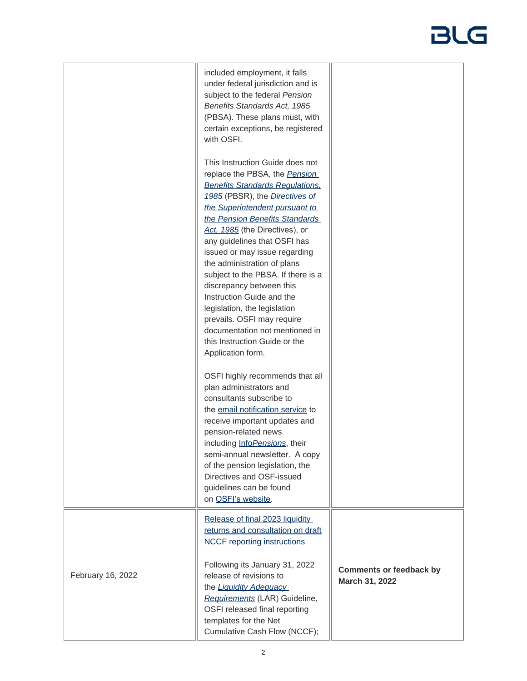|                   | included employment, it falls<br>under federal jurisdiction and is<br>subject to the federal Pension<br>Benefits Standards Act, 1985<br>(PBSA). These plans must, with<br>certain exceptions, be registered<br>with OSFI.                                                                                                                                                                                                                                                                                                                                                                                      |                                                  |
|-------------------|----------------------------------------------------------------------------------------------------------------------------------------------------------------------------------------------------------------------------------------------------------------------------------------------------------------------------------------------------------------------------------------------------------------------------------------------------------------------------------------------------------------------------------------------------------------------------------------------------------------|--------------------------------------------------|
|                   | This Instruction Guide does not<br>replace the PBSA, the Pension<br><b>Benefits Standards Regulations,</b><br>1985 (PBSR), the <i>Directives of</i><br>the Superintendent pursuant to<br>the Pension Benefits Standards<br>Act, 1985 (the Directives), or<br>any guidelines that OSFI has<br>issued or may issue regarding<br>the administration of plans<br>subject to the PBSA. If there is a<br>discrepancy between this<br>Instruction Guide and the<br>legislation, the legislation<br>prevails. OSFI may require<br>documentation not mentioned in<br>this Instruction Guide or the<br>Application form. |                                                  |
|                   | OSFI highly recommends that all<br>plan administrators and<br>consultants subscribe to<br>the email notification service to<br>receive important updates and<br>pension-related news<br>including InfoPensions, their<br>semi-annual newsletter. A copy<br>of the pension legislation, the<br>Directives and OSF-issued<br>guidelines can be found<br>on OSFI's website.                                                                                                                                                                                                                                       |                                                  |
| February 16, 2022 | Release of final 2023 liquidity<br>returns and consultation on draft<br><b>NCCF</b> reporting instructions<br>Following its January 31, 2022<br>release of revisions to<br>the Liquidity Adequacy<br>Requirements (LAR) Guideline,<br>OSFI released final reporting<br>templates for the Net<br>Cumulative Cash Flow (NCCF);                                                                                                                                                                                                                                                                                   | <b>Comments or feedback by</b><br>March 31, 2022 |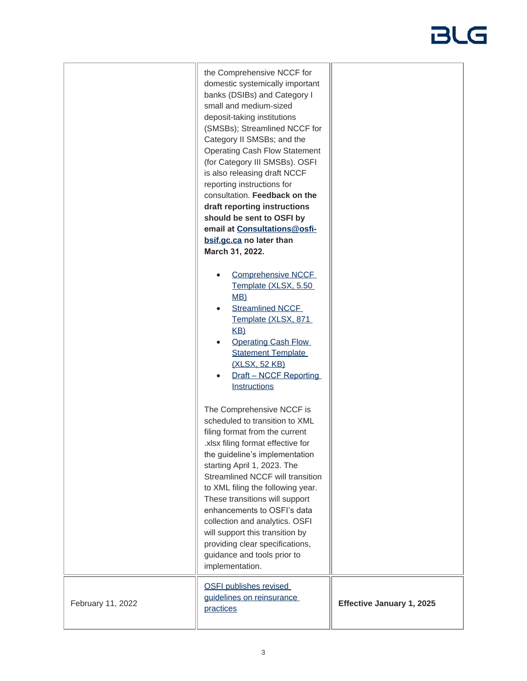|                   | the Comprehensive NCCF for<br>domestic systemically important<br>banks (DSIBs) and Category I<br>small and medium-sized<br>deposit-taking institutions<br>(SMSBs); Streamlined NCCF for<br>Category II SMSBs; and the<br><b>Operating Cash Flow Statement</b><br>(for Category III SMSBs). OSFI<br>is also releasing draft NCCF<br>reporting instructions for<br>consultation. Feedback on the<br>draft reporting instructions<br>should be sent to OSFI by<br>email at Consultations@osfi-<br>bsif.gc.ca no later than<br>March 31, 2022. |                           |
|-------------------|--------------------------------------------------------------------------------------------------------------------------------------------------------------------------------------------------------------------------------------------------------------------------------------------------------------------------------------------------------------------------------------------------------------------------------------------------------------------------------------------------------------------------------------------|---------------------------|
|                   | <b>Comprehensive NCCF</b><br>Template (XLSX, 5.50<br>MB)<br><b>Streamlined NCCF</b><br>$\bullet$<br>Template (XLSX, 871<br>KB)<br><b>Operating Cash Flow</b><br><b>Statement Template</b><br>(XLSX, 52 KB)<br>Draft - NCCF Reporting<br><b>Instructions</b>                                                                                                                                                                                                                                                                                |                           |
|                   | The Comprehensive NCCF is<br>scheduled to transition to XML<br>filing format from the current<br>xlsx filing format effective for<br>the guideline's implementation<br>starting April 1, 2023. The<br>Streamlined NCCF will transition<br>to XML filing the following year.<br>These transitions will support<br>enhancements to OSFI's data<br>collection and analytics. OSFI<br>will support this transition by<br>providing clear specifications,<br>guidance and tools prior to<br>implementation.                                     |                           |
| February 11, 2022 | <b>OSFI publishes revised</b><br>guidelines on reinsurance<br>practices                                                                                                                                                                                                                                                                                                                                                                                                                                                                    | Effective January 1, 2025 |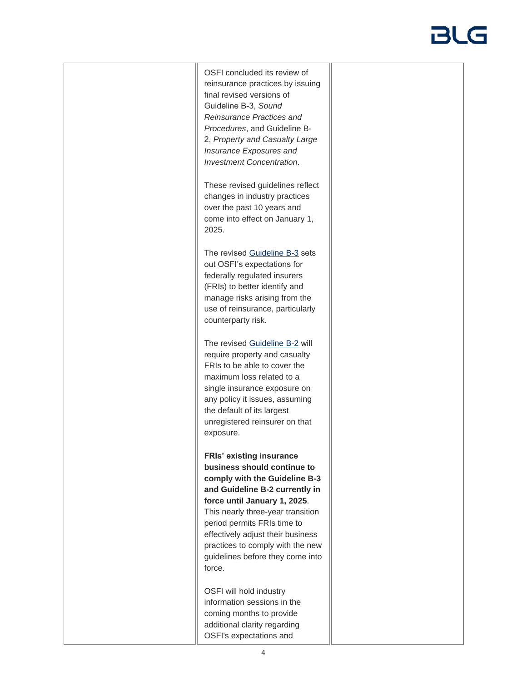OSFI concluded its review of reinsurance practices by issuing final revised versions of Guideline B-3, *Sound Reinsurance Practices and Procedures*, and Guideline B-2, *Property and Casualty Large Insurance Exposures and Investment Concentration*.

These revised guidelines reflect changes in industry practices over the past 10 years and come into effect on January 1, 2025.

The revised [Guideline B-3](https://www.osfi-bsif.gc.ca/Eng/fi-if/rg-ro/gdn-ort/gl-ld/Pages/b3_snd.aspx) sets out OSFI's expectations for federally regulated insurers (FRIs) to better identify and manage risks arising from the use of reinsurance, particularly counterparty risk.

The revised [Guideline B-2](https://www.osfi-bsif.gc.ca/Eng/fi-if/rg-ro/gdn-ort/gl-ld/Pages/b2_pc.aspx) will require property and casualty FRIs to be able to cover the maximum loss related to a single insurance exposure on any policy it issues, assuming the default of its largest unregistered reinsurer on that exposure.

**FRIs' existing insurance business should continue to comply with the Guideline B-3 and Guideline B-2 currently in force until January 1, 2025**. This nearly three-year transition period permits FRIs time to effectively adjust their business practices to comply with the new guidelines before they come into force.

OSFI will hold industry information sessions in the coming months to provide additional clarity regarding OSFI's expectations and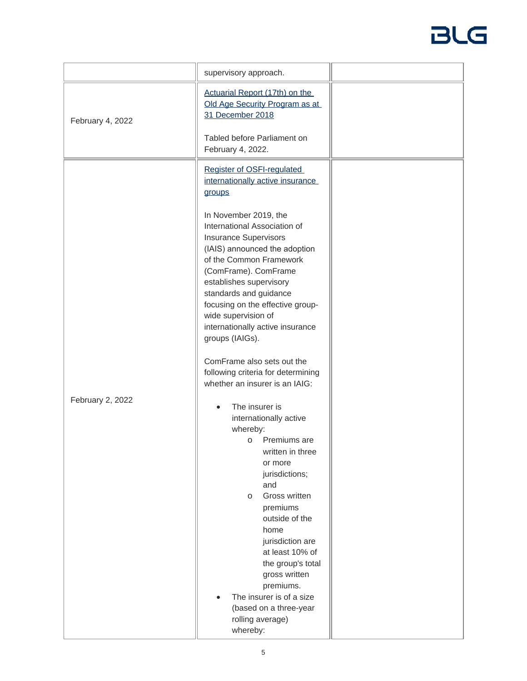|                  | supervisory approach.                                                                                                                                                                                                                                                                                                                            |  |
|------------------|--------------------------------------------------------------------------------------------------------------------------------------------------------------------------------------------------------------------------------------------------------------------------------------------------------------------------------------------------|--|
| February 4, 2022 | Actuarial Report (17th) on the<br>Old Age Security Program as at<br>31 December 2018<br>Tabled before Parliament on                                                                                                                                                                                                                              |  |
|                  | February 4, 2022.                                                                                                                                                                                                                                                                                                                                |  |
|                  | Register of OSFI-regulated<br>internationally active insurance<br>groups                                                                                                                                                                                                                                                                         |  |
|                  | In November 2019, the<br>International Association of<br><b>Insurance Supervisors</b><br>(IAIS) announced the adoption<br>of the Common Framework<br>(ComFrame). ComFrame<br>establishes supervisory<br>standards and guidance<br>focusing on the effective group-<br>wide supervision of<br>internationally active insurance<br>groups (IAIGs). |  |
|                  | ComFrame also sets out the                                                                                                                                                                                                                                                                                                                       |  |
|                  | following criteria for determining<br>whether an insurer is an IAIG:                                                                                                                                                                                                                                                                             |  |
| February 2, 2022 | The insurer is<br>internationally active<br>whereby:<br>Premiums are<br>$\circ$<br>written in three<br>or more<br>jurisdictions;<br>and<br>Gross written<br>$\circ$<br>premiums                                                                                                                                                                  |  |
|                  | outside of the<br>home<br>jurisdiction are<br>at least 10% of<br>the group's total<br>gross written<br>premiums.<br>The insurer is of a size<br>(based on a three-year<br>rolling average)<br>whereby:                                                                                                                                           |  |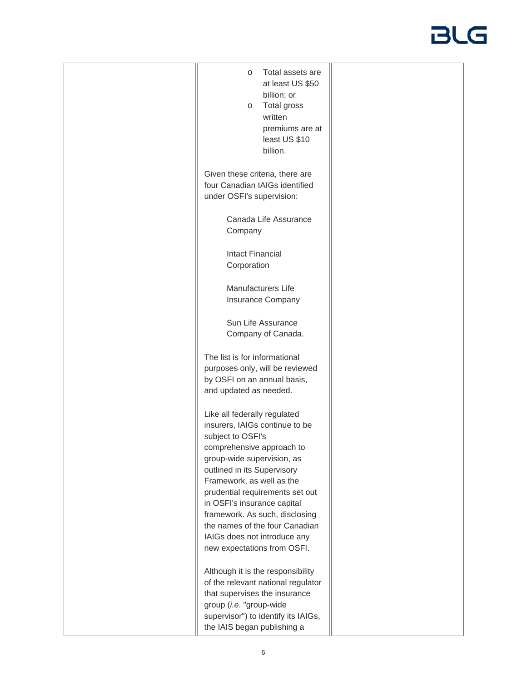| Total assets are<br>$\circ$<br>at least US \$50<br>billion; or<br>Total gross<br>$\circ$<br>written<br>premiums are at<br>least US \$10<br>billion.                                                                                                                                                                                                                                                             |  |
|-----------------------------------------------------------------------------------------------------------------------------------------------------------------------------------------------------------------------------------------------------------------------------------------------------------------------------------------------------------------------------------------------------------------|--|
| Given these criteria, there are<br>four Canadian IAIGs identified<br>under OSFI's supervision:                                                                                                                                                                                                                                                                                                                  |  |
| Canada Life Assurance<br>Company                                                                                                                                                                                                                                                                                                                                                                                |  |
| <b>Intact Financial</b><br>Corporation                                                                                                                                                                                                                                                                                                                                                                          |  |
| <b>Manufacturers Life</b><br><b>Insurance Company</b>                                                                                                                                                                                                                                                                                                                                                           |  |
| Sun Life Assurance<br>Company of Canada.                                                                                                                                                                                                                                                                                                                                                                        |  |
| The list is for informational<br>purposes only, will be reviewed<br>by OSFI on an annual basis,<br>and updated as needed.                                                                                                                                                                                                                                                                                       |  |
| Like all federally regulated<br>insurers, IAIGs continue to be<br>subject to OSFI's<br>comprehensive approach to<br>group-wide supervision, as<br>outlined in its Supervisory<br>Framework, as well as the<br>prudential requirements set out<br>in OSFI's insurance capital<br>framework. As such, disclosing<br>the names of the four Canadian<br>IAIGs does not introduce any<br>new expectations from OSFI. |  |
| Although it is the responsibility<br>of the relevant national regulator<br>that supervises the insurance<br>group (i.e. "group-wide<br>supervisor") to identify its IAIGs,<br>the IAIS began publishing a                                                                                                                                                                                                       |  |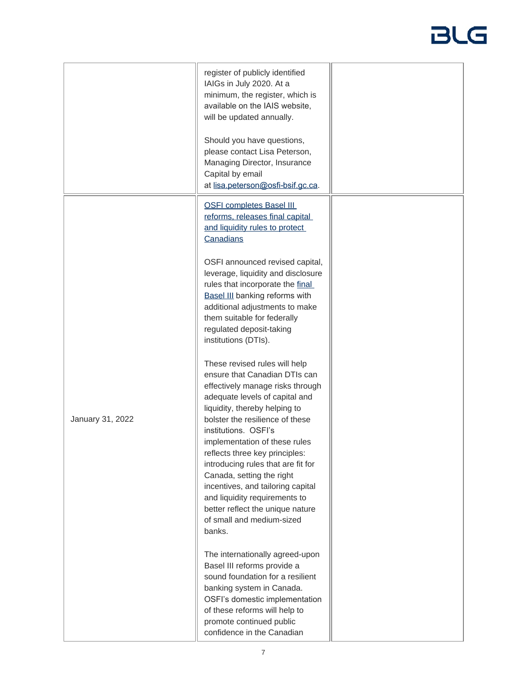|                  | register of publicly identified<br>IAIGs in July 2020. At a<br>minimum, the register, which is<br>available on the IAIS website,<br>will be updated annually.                                                                                                                                                                                                                                                                                                                                                           |  |
|------------------|-------------------------------------------------------------------------------------------------------------------------------------------------------------------------------------------------------------------------------------------------------------------------------------------------------------------------------------------------------------------------------------------------------------------------------------------------------------------------------------------------------------------------|--|
|                  | Should you have questions,<br>please contact Lisa Peterson,<br>Managing Director, Insurance<br>Capital by email<br>at lisa.peterson@osfi-bsif.gc.ca.                                                                                                                                                                                                                                                                                                                                                                    |  |
|                  | <b>OSFI completes Basel III</b><br>reforms, releases final capital<br>and liquidity rules to protect<br>Canadians                                                                                                                                                                                                                                                                                                                                                                                                       |  |
|                  | OSFI announced revised capital,<br>leverage, liquidity and disclosure<br>rules that incorporate the final<br><b>Basel III</b> banking reforms with<br>additional adjustments to make<br>them suitable for federally<br>regulated deposit-taking<br>institutions (DTIs).                                                                                                                                                                                                                                                 |  |
| January 31, 2022 | These revised rules will help<br>ensure that Canadian DTIs can<br>effectively manage risks through<br>adequate levels of capital and<br>liquidity, thereby helping to<br>bolster the resilience of these<br>institutions. OSFI's<br>implementation of these rules<br>reflects three key principles:<br>introducing rules that are fit for<br>Canada, setting the right<br>incentives, and tailoring capital<br>and liquidity requirements to<br>better reflect the unique nature<br>of small and medium-sized<br>banks. |  |
|                  | The internationally agreed-upon<br>Basel III reforms provide a<br>sound foundation for a resilient<br>banking system in Canada.<br>OSFI's domestic implementation<br>of these reforms will help to<br>promote continued public<br>confidence in the Canadian                                                                                                                                                                                                                                                            |  |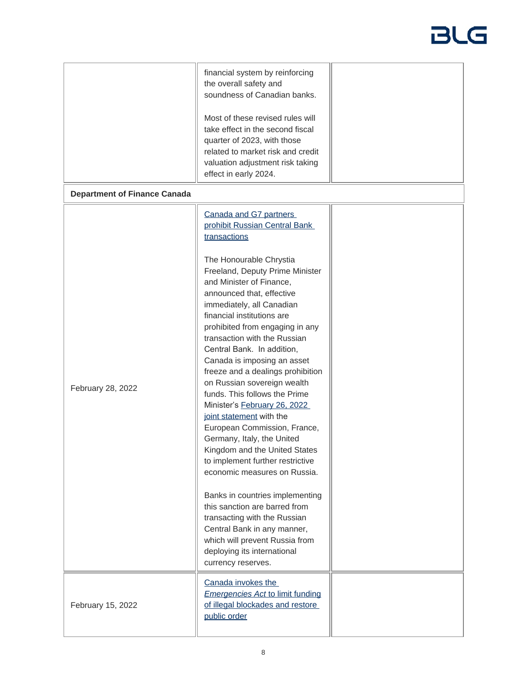|                                     | financial system by reinforcing<br>the overall safety and<br>soundness of Canadian banks.                                                                                                                                                                                                                                                                                                                                                                                                                                                                                                                                                          |  |
|-------------------------------------|----------------------------------------------------------------------------------------------------------------------------------------------------------------------------------------------------------------------------------------------------------------------------------------------------------------------------------------------------------------------------------------------------------------------------------------------------------------------------------------------------------------------------------------------------------------------------------------------------------------------------------------------------|--|
|                                     | Most of these revised rules will<br>take effect in the second fiscal<br>quarter of 2023, with those<br>related to market risk and credit<br>valuation adjustment risk taking<br>effect in early 2024.                                                                                                                                                                                                                                                                                                                                                                                                                                              |  |
| <b>Department of Finance Canada</b> |                                                                                                                                                                                                                                                                                                                                                                                                                                                                                                                                                                                                                                                    |  |
|                                     | Canada and G7 partners<br>prohibit Russian Central Bank<br>transactions                                                                                                                                                                                                                                                                                                                                                                                                                                                                                                                                                                            |  |
| February 28, 2022                   | The Honourable Chrystia<br>Freeland, Deputy Prime Minister<br>and Minister of Finance,<br>announced that, effective<br>immediately, all Canadian<br>financial institutions are<br>prohibited from engaging in any<br>transaction with the Russian<br>Central Bank. In addition,<br>Canada is imposing an asset<br>freeze and a dealings prohibition<br>on Russian sovereign wealth<br>funds. This follows the Prime<br>Minister's February 26, 2022<br>joint statement with the<br>European Commission, France,<br>Germany, Italy, the United<br>Kingdom and the United States<br>to implement further restrictive<br>economic measures on Russia. |  |
|                                     | Banks in countries implementing<br>this sanction are barred from<br>transacting with the Russian<br>Central Bank in any manner,<br>which will prevent Russia from<br>deploying its international<br>currency reserves.                                                                                                                                                                                                                                                                                                                                                                                                                             |  |
| February 15, 2022                   | Canada invokes the<br><b>Emergencies Act to limit funding</b><br>of illegal blockades and restore<br>public order                                                                                                                                                                                                                                                                                                                                                                                                                                                                                                                                  |  |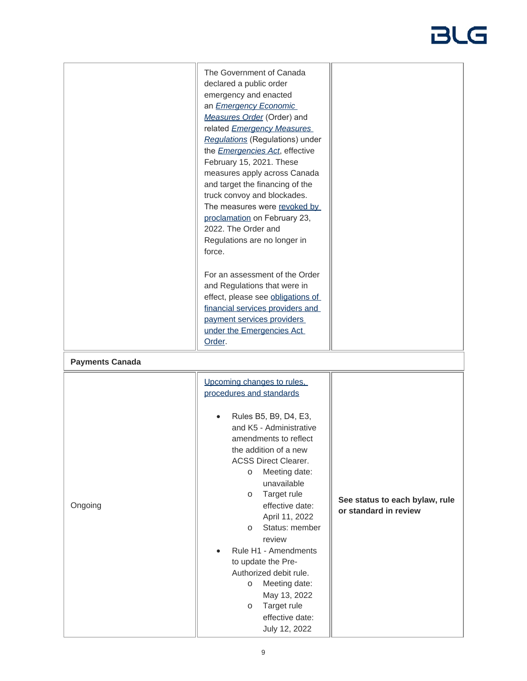|                                   | The Government of Canada<br>declared a public order<br>emergency and enacted<br>an <b>Emergency Economic</b><br>Measures Order (Order) and<br>related <b>Emergency Measures</b><br>Regulations (Regulations) under<br>the <i>Emergencies Act</i> , effective<br>February 15, 2021. These<br>measures apply across Canada<br>and target the financing of the<br>truck convoy and blockades.<br>The measures were revoked by<br>proclamation on February 23,<br>2022. The Order and<br>Regulations are no longer in<br>force.<br>For an assessment of the Order<br>and Regulations that were in<br>effect, please see obligations of<br>financial services providers and<br>payment services providers<br>under the Emergencies Act<br>Order. |                                                         |
|-----------------------------------|---------------------------------------------------------------------------------------------------------------------------------------------------------------------------------------------------------------------------------------------------------------------------------------------------------------------------------------------------------------------------------------------------------------------------------------------------------------------------------------------------------------------------------------------------------------------------------------------------------------------------------------------------------------------------------------------------------------------------------------------|---------------------------------------------------------|
| <b>Payments Canada</b><br>Ongoing | Upcoming changes to rules,<br>procedures and standards<br>Rules B5, B9, D4, E3,<br>and K5 - Administrative<br>amendments to reflect<br>the addition of a new<br><b>ACSS Direct Clearer.</b><br>Meeting date:<br>$\circ$<br>unavailable<br>Target rule<br>$\circ$<br>effective date:<br>April 11, 2022<br>Status: member<br>$\circ$<br>review<br>Rule H1 - Amendments<br>to update the Pre-<br>Authorized debit rule.<br>Meeting date:<br>$\circ$<br>May 13, 2022<br>Target rule<br>$\circ$<br>effective date:<br>July 12, 2022                                                                                                                                                                                                              | See status to each bylaw, rule<br>or standard in review |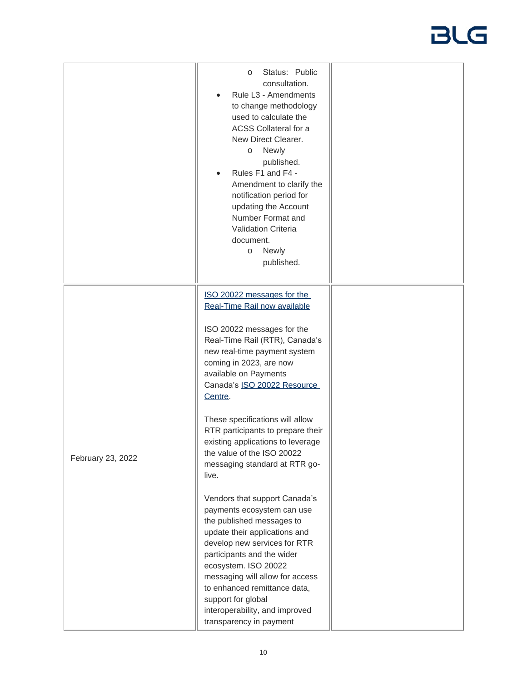|                   | Status: Public<br>$\circ$<br>consultation.<br>Rule L3 - Amendments<br>$\bullet$<br>to change methodology<br>used to calculate the<br>ACSS Collateral for a<br>New Direct Clearer.<br>o Newly<br>published.<br>Rules F1 and F4 -<br>Amendment to clarify the<br>notification period for<br>updating the Account<br>Number Format and<br><b>Validation Criteria</b><br>document.<br>Newly<br>$\circ$<br>published.                                                                   |  |
|-------------------|------------------------------------------------------------------------------------------------------------------------------------------------------------------------------------------------------------------------------------------------------------------------------------------------------------------------------------------------------------------------------------------------------------------------------------------------------------------------------------|--|
|                   | ISO 20022 messages for the<br>Real-Time Rail now available<br>ISO 20022 messages for the<br>Real-Time Rail (RTR), Canada's<br>new real-time payment system<br>coming in 2023, are now<br>available on Payments<br>Canada's ISO 20022 Resource<br>Centre.<br>These specifications will allow<br>RTR participants to prepare their                                                                                                                                                   |  |
| February 23, 2022 | existing applications to leverage<br>the value of the ISO 20022<br>messaging standard at RTR go-<br>live.<br>Vendors that support Canada's<br>payments ecosystem can use<br>the published messages to<br>update their applications and<br>develop new services for RTR<br>participants and the wider<br>ecosystem. ISO 20022<br>messaging will allow for access<br>to enhanced remittance data,<br>support for global<br>interoperability, and improved<br>transparency in payment |  |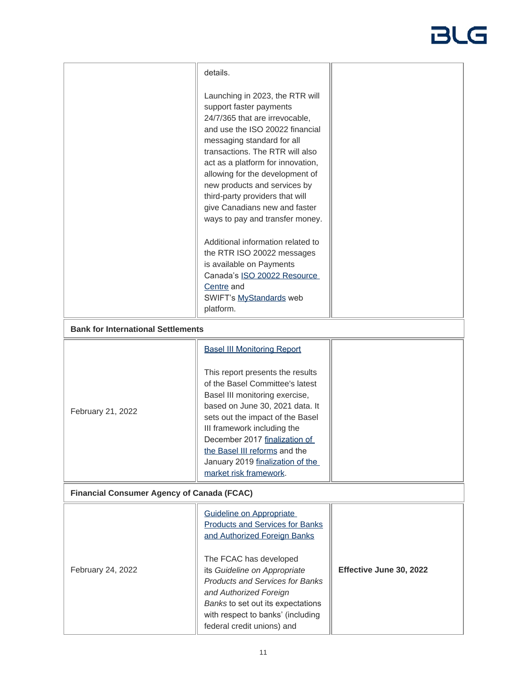| details.                                                                                                                                                                                                                                                                                                                                                                                                        |                                                                                                                    |
|-----------------------------------------------------------------------------------------------------------------------------------------------------------------------------------------------------------------------------------------------------------------------------------------------------------------------------------------------------------------------------------------------------------------|--------------------------------------------------------------------------------------------------------------------|
|                                                                                                                                                                                                                                                                                                                                                                                                                 |                                                                                                                    |
| Launching in 2023, the RTR will<br>support faster payments<br>24/7/365 that are irrevocable,<br>and use the ISO 20022 financial<br>messaging standard for all<br>transactions. The RTR will also<br>act as a platform for innovation,<br>allowing for the development of<br>new products and services by<br>third-party providers that will<br>give Canadians new and faster<br>ways to pay and transfer money. |                                                                                                                    |
| Additional information related to                                                                                                                                                                                                                                                                                                                                                                               |                                                                                                                    |
| is available on Payments                                                                                                                                                                                                                                                                                                                                                                                        |                                                                                                                    |
| Centre and                                                                                                                                                                                                                                                                                                                                                                                                      |                                                                                                                    |
| platform.                                                                                                                                                                                                                                                                                                                                                                                                       |                                                                                                                    |
| <b>Bank for International Settlements</b>                                                                                                                                                                                                                                                                                                                                                                       |                                                                                                                    |
| <b>Basel III Monitoring Report</b>                                                                                                                                                                                                                                                                                                                                                                              |                                                                                                                    |
| This report presents the results<br>of the Basel Committee's latest<br>Basel III monitoring exercise,<br>based on June 30, 2021 data. It<br>sets out the impact of the Basel<br>III framework including the<br>December 2017 finalization of<br>the Basel III reforms and the<br>January 2019 finalization of the<br>market risk framework.                                                                     |                                                                                                                    |
| <b>Financial Consumer Agency of Canada (FCAC)</b>                                                                                                                                                                                                                                                                                                                                                               |                                                                                                                    |
| Guideline on Appropriate<br><b>Products and Services for Banks</b><br>and Authorized Foreign Banks<br>The FCAC has developed<br>its Guideline on Appropriate<br><b>Products and Services for Banks</b><br>and Authorized Foreign<br>Banks to set out its expectations<br>with respect to banks' (including                                                                                                      | Effective June 30, 2022                                                                                            |
|                                                                                                                                                                                                                                                                                                                                                                                                                 | the RTR ISO 20022 messages<br>Canada's ISO 20022 Resource<br>SWIFT's MyStandards web<br>federal credit unions) and |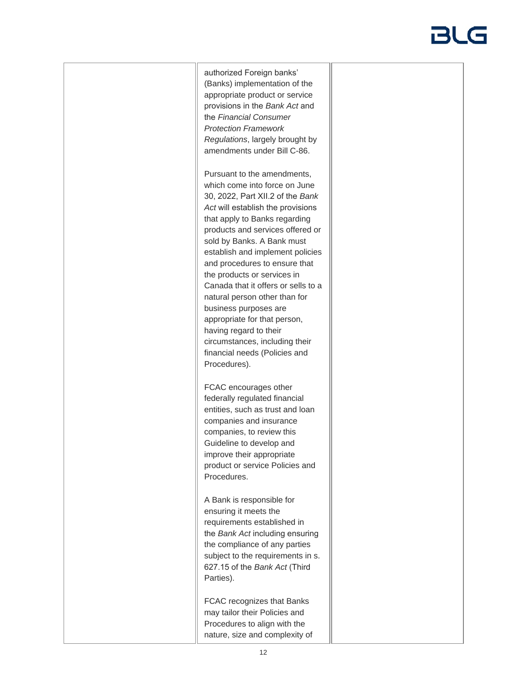authorized Foreign banks' (Banks) implementation of the appropriate product or service provisions in the *Bank Act* and the *Financial Consumer Protection Framework Regulations*, largely brought by amendments under Bill C-86.

Pursuant to the amendments, which come into force on June 30, 2022, Part XII.2 of the *Bank Act* will establish the provisions that apply to Banks regarding products and services offered or sold by Banks. A Bank must establish and implement policies and procedures to ensure that the products or services in Canada that it offers or sells to a natural person other than for business purposes are appropriate for that person, having regard to their circumstances, including their financial needs (Policies and Procedures).

FCAC encourages other federally regulated financial entities, such as trust and loan companies and insurance companies, to review this Guideline to develop and improve their appropriate product or service Policies and Procedures.

A Bank is responsible for ensuring it meets the requirements established in the *Bank Act* including ensuring the compliance of any parties subject to the requirements in s. 627.15 of the *Bank Act* (Third Parties).

FCAC recognizes that Banks may tailor their Policies and Procedures to align with the nature, size and complexity of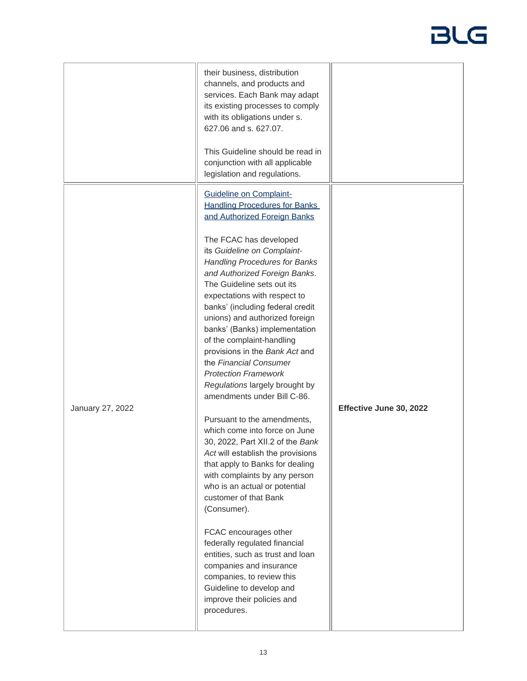|                  | their business, distribution<br>channels, and products and<br>services. Each Bank may adapt<br>its existing processes to comply<br>with its obligations under s.<br>627.06 and s. 627.07.<br>This Guideline should be read in<br>conjunction with all applicable<br>legislation and regulations.                                                                                                                                                                                                                                                                                                                                                                                                                                                                                                                                                                                                                                                                                                                                                                                                                            |                         |
|------------------|-----------------------------------------------------------------------------------------------------------------------------------------------------------------------------------------------------------------------------------------------------------------------------------------------------------------------------------------------------------------------------------------------------------------------------------------------------------------------------------------------------------------------------------------------------------------------------------------------------------------------------------------------------------------------------------------------------------------------------------------------------------------------------------------------------------------------------------------------------------------------------------------------------------------------------------------------------------------------------------------------------------------------------------------------------------------------------------------------------------------------------|-------------------------|
| January 27, 2022 | <b>Guideline on Complaint-</b><br><b>Handling Procedures for Banks</b><br>and Authorized Foreign Banks<br>The FCAC has developed<br>its Guideline on Complaint-<br><b>Handling Procedures for Banks</b><br>and Authorized Foreign Banks.<br>The Guideline sets out its<br>expectations with respect to<br>banks' (including federal credit<br>unions) and authorized foreign<br>banks' (Banks) implementation<br>of the complaint-handling<br>provisions in the Bank Act and<br>the Financial Consumer<br><b>Protection Framework</b><br>Regulations largely brought by<br>amendments under Bill C-86.<br>Pursuant to the amendments,<br>which come into force on June<br>30, 2022, Part XII.2 of the Bank<br>Act will establish the provisions<br>that apply to Banks for dealing<br>with complaints by any person<br>who is an actual or potential<br>customer of that Bank<br>(Consumer).<br>FCAC encourages other<br>federally regulated financial<br>entities, such as trust and loan<br>companies and insurance<br>companies, to review this<br>Guideline to develop and<br>improve their policies and<br>procedures. | Effective June 30, 2022 |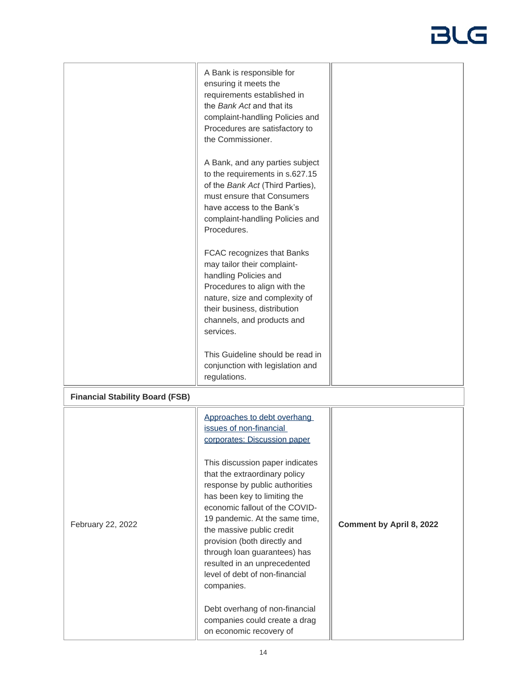|                                        | A Bank is responsible for<br>ensuring it meets the<br>requirements established in<br>the Bank Act and that its<br>complaint-handling Policies and<br>Procedures are satisfactory to<br>the Commissioner.<br>A Bank, and any parties subject<br>to the requirements in s.627.15<br>of the Bank Act (Third Parties),<br>must ensure that Consumers<br>have access to the Bank's<br>complaint-handling Policies and<br>Procedures.<br>FCAC recognizes that Banks<br>may tailor their complaint-<br>handling Policies and<br>Procedures to align with the<br>nature, size and complexity of<br>their business, distribution<br>channels, and products and<br>services.<br>This Guideline should be read in |                          |
|----------------------------------------|--------------------------------------------------------------------------------------------------------------------------------------------------------------------------------------------------------------------------------------------------------------------------------------------------------------------------------------------------------------------------------------------------------------------------------------------------------------------------------------------------------------------------------------------------------------------------------------------------------------------------------------------------------------------------------------------------------|--------------------------|
|                                        | conjunction with legislation and<br>regulations.                                                                                                                                                                                                                                                                                                                                                                                                                                                                                                                                                                                                                                                       |                          |
| <b>Financial Stability Board (FSB)</b> |                                                                                                                                                                                                                                                                                                                                                                                                                                                                                                                                                                                                                                                                                                        |                          |
| February 22, 2022                      | Approaches to debt overhang<br>issues of non-financial<br>corporates: Discussion paper<br>This discussion paper indicates<br>that the extraordinary policy<br>response by public authorities<br>has been key to limiting the<br>economic fallout of the COVID-<br>19 pandemic. At the same time,<br>the massive public credit<br>provision (both directly and<br>through loan guarantees) has<br>resulted in an unprecedented<br>level of debt of non-financial<br>companies.<br>Debt overhang of non-financial<br>companies could create a drag<br>on economic recovery of                                                                                                                            | Comment by April 8, 2022 |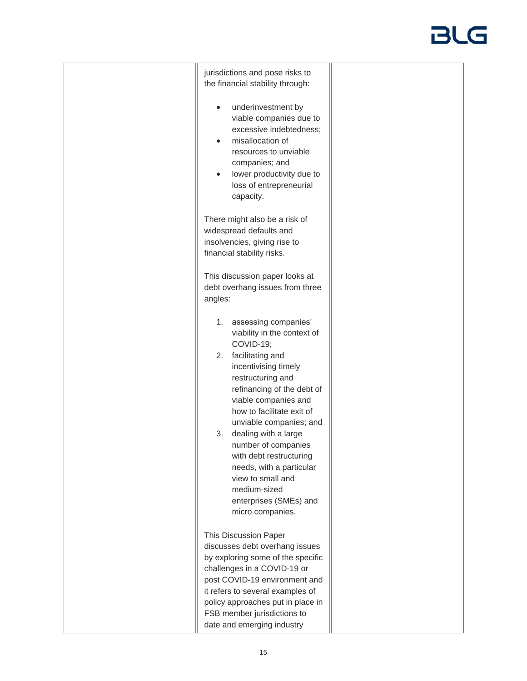| jurisdictions and pose risks to<br>the financial stability through:                                                                                                                                                                                                                                                                                                                                                                                        |  |
|------------------------------------------------------------------------------------------------------------------------------------------------------------------------------------------------------------------------------------------------------------------------------------------------------------------------------------------------------------------------------------------------------------------------------------------------------------|--|
| underinvestment by<br>viable companies due to<br>excessive indebtedness;<br>misallocation of<br>resources to unviable<br>companies; and<br>lower productivity due to<br>$\bullet$<br>loss of entrepreneurial<br>capacity.                                                                                                                                                                                                                                  |  |
| There might also be a risk of<br>widespread defaults and<br>insolvencies, giving rise to<br>financial stability risks.                                                                                                                                                                                                                                                                                                                                     |  |
| This discussion paper looks at<br>debt overhang issues from three<br>angles:                                                                                                                                                                                                                                                                                                                                                                               |  |
| assessing companies'<br>1.<br>viability in the context of<br>COVID-19;<br>2.<br>facilitating and<br>incentivising timely<br>restructuring and<br>refinancing of the debt of<br>viable companies and<br>how to facilitate exit of<br>unviable companies; and<br>dealing with a large<br>3.<br>number of companies<br>with debt restructuring<br>needs, with a particular<br>view to small and<br>medium-sized<br>enterprises (SMEs) and<br>micro companies. |  |
| This Discussion Paper<br>discusses debt overhang issues<br>by exploring some of the specific<br>challenges in a COVID-19 or<br>post COVID-19 environment and<br>it refers to several examples of<br>policy approaches put in place in<br>FSB member jurisdictions to                                                                                                                                                                                       |  |
| date and emerging industry                                                                                                                                                                                                                                                                                                                                                                                                                                 |  |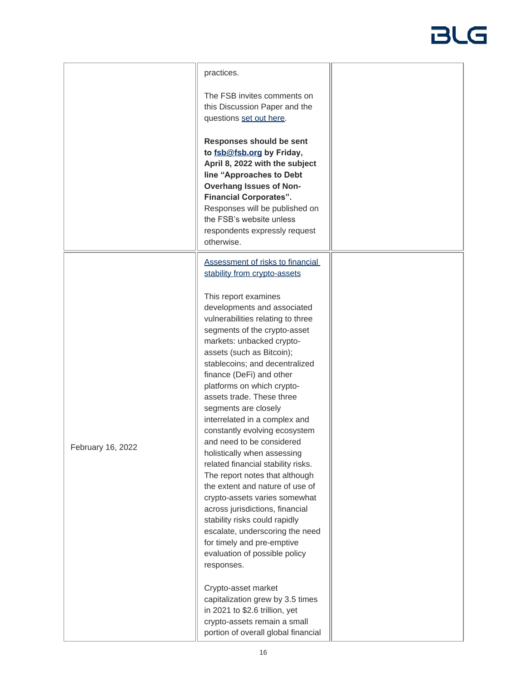|                   | practices.                                                                                                                                                                                                                                                                                                                                                                                                                                                                                                                                                                                                                                                                                                                                                                                        |  |
|-------------------|---------------------------------------------------------------------------------------------------------------------------------------------------------------------------------------------------------------------------------------------------------------------------------------------------------------------------------------------------------------------------------------------------------------------------------------------------------------------------------------------------------------------------------------------------------------------------------------------------------------------------------------------------------------------------------------------------------------------------------------------------------------------------------------------------|--|
|                   | The FSB invites comments on<br>this Discussion Paper and the<br>questions set out here.                                                                                                                                                                                                                                                                                                                                                                                                                                                                                                                                                                                                                                                                                                           |  |
|                   | Responses should be sent<br>to fsb@fsb.org by Friday,<br>April 8, 2022 with the subject<br>line "Approaches to Debt<br><b>Overhang Issues of Non-</b><br><b>Financial Corporates".</b><br>Responses will be published on<br>the FSB's website unless<br>respondents expressly request<br>otherwise.                                                                                                                                                                                                                                                                                                                                                                                                                                                                                               |  |
|                   | Assessment of risks to financial<br>stability from crypto-assets                                                                                                                                                                                                                                                                                                                                                                                                                                                                                                                                                                                                                                                                                                                                  |  |
| February 16, 2022 | This report examines<br>developments and associated<br>vulnerabilities relating to three<br>segments of the crypto-asset<br>markets: unbacked crypto-<br>assets (such as Bitcoin);<br>stablecoins; and decentralized<br>finance (DeFi) and other<br>platforms on which crypto-<br>assets trade. These three<br>segments are closely<br>interrelated in a complex and<br>constantly evolving ecosystem<br>and need to be considered<br>holistically when assessing<br>related financial stability risks.<br>The report notes that although<br>the extent and nature of use of<br>crypto-assets varies somewhat<br>across jurisdictions, financial<br>stability risks could rapidly<br>escalate, underscoring the need<br>for timely and pre-emptive<br>evaluation of possible policy<br>responses. |  |
|                   | Crypto-asset market<br>capitalization grew by 3.5 times<br>in 2021 to \$2.6 trillion, yet<br>crypto-assets remain a small<br>portion of overall global financial                                                                                                                                                                                                                                                                                                                                                                                                                                                                                                                                                                                                                                  |  |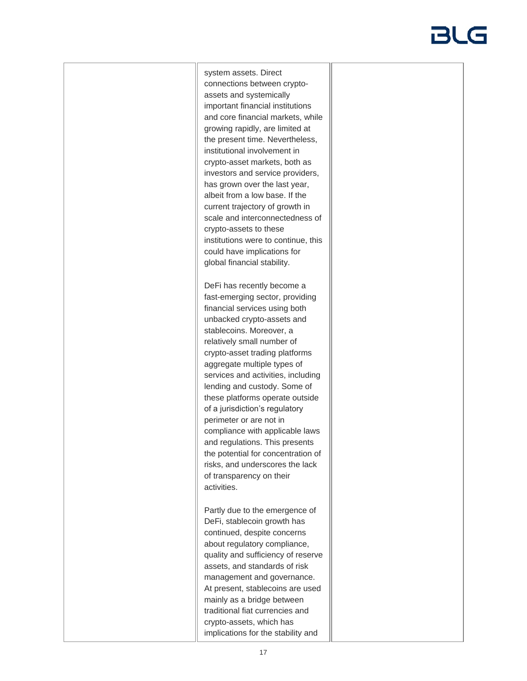system assets. Direct connections between cryptoassets and systemically important financial institutions and core financial markets, while growing rapidly, are limited at the present time. Nevertheless, institutional involvement in crypto-asset markets, both as investors and service providers, has grown over the last year, albeit from a low base. If the current trajectory of growth in scale and interconnectedness of crypto-assets to these institutions were to continue, this could have implications for global financial stability.

DeFi has recently become a fast-emerging sector, providing financial services using both unbacked crypto-assets and stablecoins. Moreover, a relatively small number of crypto-asset trading platforms aggregate multiple types of services and activities, including lending and custody. Some of these platforms operate outside of a jurisdiction's regulatory perimeter or are not in compliance with applicable laws and regulations. This presents the potential for concentration of risks, and underscores the lack of transparency on their activities.

Partly due to the emergence of DeFi, stablecoin growth has continued, despite concerns about regulatory compliance, quality and sufficiency of reserve assets, and standards of risk management and governance. At present, stablecoins are used mainly as a bridge between traditional fiat currencies and crypto-assets, which has implications for the stability and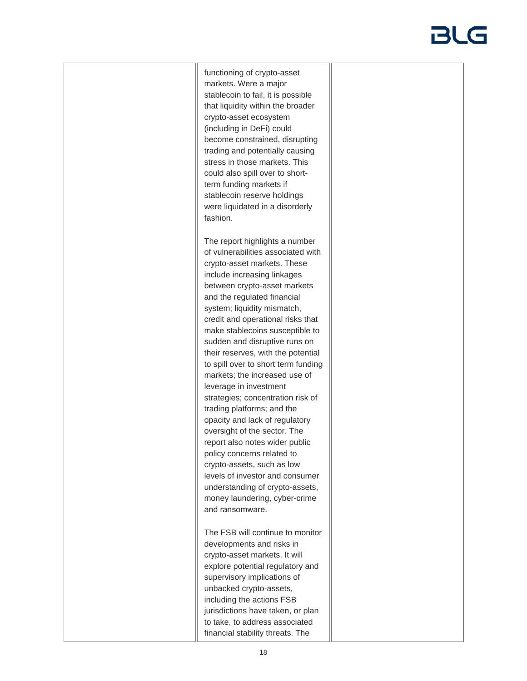functioning of crypto-asset markets. Were a major stablecoin to fail, it is possible that liquidity within the broader crypto-asset ecosystem (including in DeFi) could become constrained, disrupting trading and potentially causing stress in those markets. This could also spill over to shortterm funding markets if stablecoin reserve holdings were liquidated in a disorderly fashion.

The report highlights a number of vulnerabilities associated with crypto-asset markets. These include increasing linkages between crypto-asset markets and the regulated financial system; liquidity mismatch, credit and operational risks that make stablecoins susceptible to sudden and disruptive runs on their reserves, with the potential to spill over to short term funding markets; the increased use of leverage in investment strategies; concentration risk of trading platforms; and the opacity and lack of regulatory oversight of the sector. The report also notes wider public policy concerns related to crypto-assets, such as low levels of investor and consumer understanding of crypto-assets, money laundering, cyber-crime and ransomware.

The FSB will continue to monitor developments and risks in crypto-asset markets. It will explore potential regulatory and supervisory implications of unbacked crypto-assets, including the actions FSB jurisdictions have taken, or plan to take, to address associated financial stability threats. The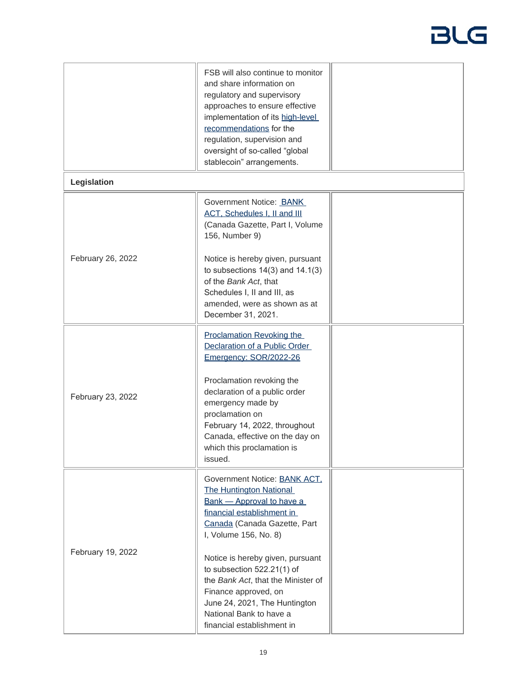|                   | FSB will also continue to monitor<br>and share information on<br>regulatory and supervisory<br>approaches to ensure effective<br>implementation of its high-level<br>recommendations for the<br>regulation, supervision and<br>oversight of so-called "global<br>stablecoin" arrangements.                                                                                                                          |  |  |  |
|-------------------|---------------------------------------------------------------------------------------------------------------------------------------------------------------------------------------------------------------------------------------------------------------------------------------------------------------------------------------------------------------------------------------------------------------------|--|--|--|
| Legislation       |                                                                                                                                                                                                                                                                                                                                                                                                                     |  |  |  |
|                   | Government Notice: BANK<br><b>ACT, Schedules I, II and III</b><br>(Canada Gazette, Part I, Volume<br>156, Number 9)                                                                                                                                                                                                                                                                                                 |  |  |  |
| February 26, 2022 | Notice is hereby given, pursuant<br>to subsections $14(3)$ and $14.1(3)$<br>of the Bank Act, that<br>Schedules I, II and III, as<br>amended, were as shown as at<br>December 31, 2021.                                                                                                                                                                                                                              |  |  |  |
| February 23, 2022 | <b>Proclamation Revoking the</b><br>Declaration of a Public Order<br>Emergency: SOR/2022-26<br>Proclamation revoking the<br>declaration of a public order<br>emergency made by<br>proclamation on<br>February 14, 2022, throughout<br>Canada, effective on the day on<br>which this proclamation is<br>issued.                                                                                                      |  |  |  |
| February 19, 2022 | Government Notice: BANK ACT,<br><b>The Huntington National</b><br><b>Bank - Approval to have a</b><br>financial establishment in<br>Canada (Canada Gazette, Part<br>I, Volume 156, No. 8)<br>Notice is hereby given, pursuant<br>to subsection 522.21(1) of<br>the Bank Act, that the Minister of<br>Finance approved, on<br>June 24, 2021, The Huntington<br>National Bank to have a<br>financial establishment in |  |  |  |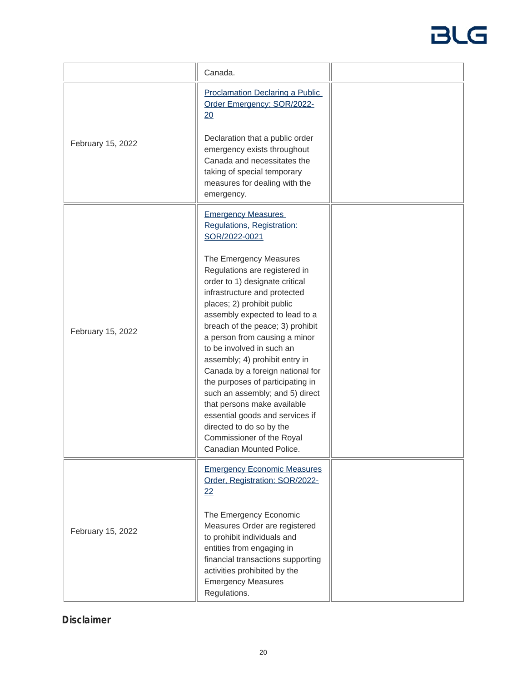|                   | Canada.                                                                                                                                                                                                                                                                                                                                                                                                                                                                                                                                                                                                                                                                     |  |
|-------------------|-----------------------------------------------------------------------------------------------------------------------------------------------------------------------------------------------------------------------------------------------------------------------------------------------------------------------------------------------------------------------------------------------------------------------------------------------------------------------------------------------------------------------------------------------------------------------------------------------------------------------------------------------------------------------------|--|
| February 15, 2022 | <b>Proclamation Declaring a Public</b><br>Order Emergency: SOR/2022-<br>20<br>Declaration that a public order<br>emergency exists throughout<br>Canada and necessitates the<br>taking of special temporary<br>measures for dealing with the<br>emergency.                                                                                                                                                                                                                                                                                                                                                                                                                   |  |
| February 15, 2022 | <b>Emergency Measures</b><br>Regulations, Registration:<br>SOR/2022-0021<br>The Emergency Measures<br>Regulations are registered in<br>order to 1) designate critical<br>infrastructure and protected<br>places; 2) prohibit public<br>assembly expected to lead to a<br>breach of the peace; 3) prohibit<br>a person from causing a minor<br>to be involved in such an<br>assembly; 4) prohibit entry in<br>Canada by a foreign national for<br>the purposes of participating in<br>such an assembly; and 5) direct<br>that persons make available<br>essential goods and services if<br>directed to do so by the<br>Commissioner of the Royal<br>Canadian Mounted Police. |  |
| February 15, 2022 | <b>Emergency Economic Measures</b><br>Order, Registration: SOR/2022-<br>22<br>The Emergency Economic<br>Measures Order are registered<br>to prohibit individuals and<br>entities from engaging in<br>financial transactions supporting<br>activities prohibited by the<br><b>Emergency Measures</b><br>Regulations.                                                                                                                                                                                                                                                                                                                                                         |  |

### *Disclaimer*